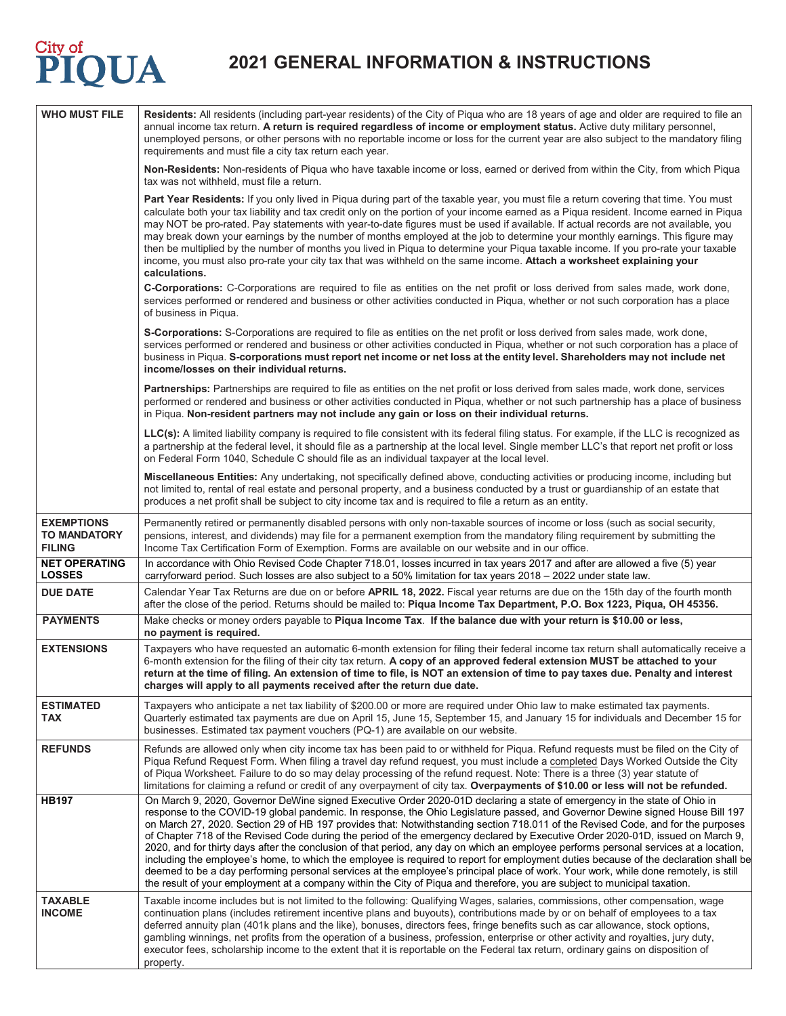# **2021 GENERAL INFORMATION & INSTRUCTIONS**

| <b>WHO MUST FILE</b>                                      | Residents: All residents (including part-year residents) of the City of Piqua who are 18 years of age and older are required to file an<br>annual income tax return. A return is required regardless of income or employment status. Active duty military personnel,<br>unemployed persons, or other persons with no reportable income or loss for the current year are also subject to the mandatory filing<br>requirements and must file a city tax return each year.                                                                                                                                                                                                                                                                                                                                                                                                                                                                                                                                                                                                              |
|-----------------------------------------------------------|--------------------------------------------------------------------------------------------------------------------------------------------------------------------------------------------------------------------------------------------------------------------------------------------------------------------------------------------------------------------------------------------------------------------------------------------------------------------------------------------------------------------------------------------------------------------------------------------------------------------------------------------------------------------------------------------------------------------------------------------------------------------------------------------------------------------------------------------------------------------------------------------------------------------------------------------------------------------------------------------------------------------------------------------------------------------------------------|
|                                                           | Non-Residents: Non-residents of Piqua who have taxable income or loss, earned or derived from within the City, from which Piqua<br>tax was not withheld, must file a return.                                                                                                                                                                                                                                                                                                                                                                                                                                                                                                                                                                                                                                                                                                                                                                                                                                                                                                         |
|                                                           | Part Year Residents: If you only lived in Piqua during part of the taxable year, you must file a return covering that time. You must<br>calculate both your tax liability and tax credit only on the portion of your income earned as a Piqua resident. Income earned in Piqua<br>may NOT be pro-rated. Pay statements with year-to-date figures must be used if available. If actual records are not available, you<br>may break down your earnings by the number of months employed at the job to determine your monthly earnings. This figure may<br>then be multiplied by the number of months you lived in Pigua to determine your Pigua taxable income. If you pro-rate your taxable<br>income, you must also pro-rate your city tax that was withheld on the same income. Attach a worksheet explaining your<br>calculations.                                                                                                                                                                                                                                                 |
|                                                           | C-Corporations: C-Corporations are required to file as entities on the net profit or loss derived from sales made, work done,<br>services performed or rendered and business or other activities conducted in Piqua, whether or not such corporation has a place<br>of business in Piqua.                                                                                                                                                                                                                                                                                                                                                                                                                                                                                                                                                                                                                                                                                                                                                                                            |
|                                                           | S-Corporations: S-Corporations are required to file as entities on the net profit or loss derived from sales made, work done,<br>services performed or rendered and business or other activities conducted in Piqua, whether or not such corporation has a place of<br>business in Piqua. S-corporations must report net income or net loss at the entity level. Shareholders may not include net<br>income/losses on their individual returns.                                                                                                                                                                                                                                                                                                                                                                                                                                                                                                                                                                                                                                      |
|                                                           | Partnerships: Partnerships are required to file as entities on the net profit or loss derived from sales made, work done, services<br>performed or rendered and business or other activities conducted in Piqua, whether or not such partnership has a place of business<br>in Piqua. Non-resident partners may not include any gain or loss on their individual returns.                                                                                                                                                                                                                                                                                                                                                                                                                                                                                                                                                                                                                                                                                                            |
|                                                           | LLC(s): A limited liability company is required to file consistent with its federal filing status. For example, if the LLC is recognized as<br>a partnership at the federal level, it should file as a partnership at the local level. Single member LLC's that report net profit or loss<br>on Federal Form 1040, Schedule C should file as an individual taxpayer at the local level.                                                                                                                                                                                                                                                                                                                                                                                                                                                                                                                                                                                                                                                                                              |
|                                                           | Miscellaneous Entities: Any undertaking, not specifically defined above, conducting activities or producing income, including but<br>not limited to, rental of real estate and personal property, and a business conducted by a trust or guardianship of an estate that<br>produces a net profit shall be subject to city income tax and is required to file a return as an entity.                                                                                                                                                                                                                                                                                                                                                                                                                                                                                                                                                                                                                                                                                                  |
| <b>EXEMPTIONS</b><br><b>TO MANDATORY</b><br><b>FILING</b> | Permanently retired or permanently disabled persons with only non-taxable sources of income or loss (such as social security,<br>pensions, interest, and dividends) may file for a permanent exemption from the mandatory filing requirement by submitting the<br>Income Tax Certification Form of Exemption. Forms are available on our website and in our office.                                                                                                                                                                                                                                                                                                                                                                                                                                                                                                                                                                                                                                                                                                                  |
| <b>NET OPERATING</b><br><b>LOSSES</b>                     | In accordance with Ohio Revised Code Chapter 718.01, losses incurred in tax years 2017 and after are allowed a five (5) year<br>carryforward period. Such losses are also subject to a 50% limitation for tax years 2018 - 2022 under state law.                                                                                                                                                                                                                                                                                                                                                                                                                                                                                                                                                                                                                                                                                                                                                                                                                                     |
| <b>DUE DATE</b>                                           | Calendar Year Tax Returns are due on or before APRIL 18, 2022. Fiscal year returns are due on the 15th day of the fourth month<br>after the close of the period. Returns should be mailed to: Pigua Income Tax Department, P.O. Box 1223, Pigua, OH 45356.                                                                                                                                                                                                                                                                                                                                                                                                                                                                                                                                                                                                                                                                                                                                                                                                                           |
| <b>PAYMENTS</b>                                           | Make checks or money orders payable to Piqua Income Tax. If the balance due with your return is \$10.00 or less,<br>no payment is required.                                                                                                                                                                                                                                                                                                                                                                                                                                                                                                                                                                                                                                                                                                                                                                                                                                                                                                                                          |
| <b>EXTENSIONS</b>                                         | Taxpayers who have requested an automatic 6-month extension for filing their federal income tax return shall automatically receive a<br>6-month extension for the filing of their city tax return. A copy of an approved federal extension MUST be attached to your<br>return at the time of filing. An extension of time to file, is NOT an extension of time to pay taxes due. Penalty and interest<br>charges will apply to all payments received after the return due date.                                                                                                                                                                                                                                                                                                                                                                                                                                                                                                                                                                                                      |
| <b>ESTIMATED</b><br>TAX                                   | Taxpayers who anticipate a net tax liability of \$200.00 or more are required under Ohio law to make estimated tax payments.<br>Quarterly estimated tax payments are due on April 15, June 15, September 15, and January 15 for individuals and December 15 for<br>businesses. Estimated tax payment vouchers (PQ-1) are available on our website.                                                                                                                                                                                                                                                                                                                                                                                                                                                                                                                                                                                                                                                                                                                                   |
| <b>REFUNDS</b>                                            | Refunds are allowed only when city income tax has been paid to or withheld for Piqua. Refund requests must be filed on the City of<br>Piqua Refund Request Form. When filing a travel day refund request, you must include a completed Days Worked Outside the City<br>of Piqua Worksheet. Failure to do so may delay processing of the refund request. Note: There is a three (3) year statute of<br>limitations for claiming a refund or credit of any overpayment of city tax. Overpayments of \$10.00 or less will not be refunded.                                                                                                                                                                                                                                                                                                                                                                                                                                                                                                                                              |
| <b>HB197</b>                                              | On March 9, 2020, Governor DeWine signed Executive Order 2020-01D declaring a state of emergency in the state of Ohio in<br>response to the COVID-19 global pandemic. In response, the Ohio Legislature passed, and Governor Dewine signed House Bill 197<br>on March 27, 2020. Section 29 of HB 197 provides that: Notwithstanding section 718.011 of the Revised Code, and for the purposes<br>of Chapter 718 of the Revised Code during the period of the emergency declared by Executive Order 2020-01D, issued on March 9,<br>2020, and for thirty days after the conclusion of that period, any day on which an employee performs personal services at a location,<br>including the employee's home, to which the employee is required to report for employment duties because of the declaration shall be<br>deemed to be a day performing personal services at the employee's principal place of work. Your work, while done remotely, is still<br>the result of your employment at a company within the City of Piqua and therefore, you are subject to municipal taxation. |
| <b>TAXABLE</b><br><b>INCOME</b>                           | Taxable income includes but is not limited to the following: Qualifying Wages, salaries, commissions, other compensation, wage<br>continuation plans (includes retirement incentive plans and buyouts), contributions made by or on behalf of employees to a tax<br>deferred annuity plan (401k plans and the like), bonuses, directors fees, fringe benefits such as car allowance, stock options,<br>gambling winnings, net profits from the operation of a business, profession, enterprise or other activity and royalties, jury duty,<br>executor fees, scholarship income to the extent that it is reportable on the Federal tax return, ordinary gains on disposition of<br>property.                                                                                                                                                                                                                                                                                                                                                                                         |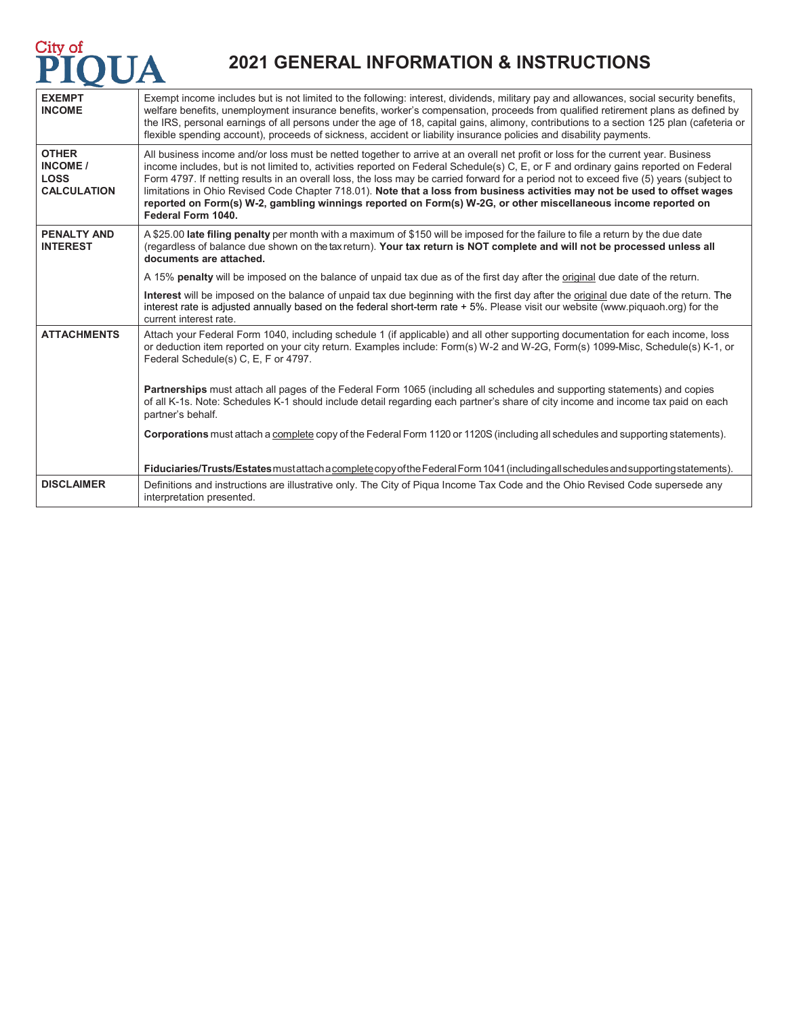## **Example 10**<br>**PIQUA**

## **2021 GENERAL INFORMATION & INSTRUCTIONS**

| <b>EXEMPT</b><br><b>INCOME</b>                                | Exempt income includes but is not limited to the following: interest, dividends, military pay and allowances, social security benefits,<br>welfare benefits, unemployment insurance benefits, worker's compensation, proceeds from qualified retirement plans as defined by<br>the IRS, personal earnings of all persons under the age of 18, capital gains, alimony, contributions to a section 125 plan (cafeteria or<br>flexible spending account), proceeds of sickness, accident or liability insurance policies and disability payments.                                                                                                                                              |
|---------------------------------------------------------------|---------------------------------------------------------------------------------------------------------------------------------------------------------------------------------------------------------------------------------------------------------------------------------------------------------------------------------------------------------------------------------------------------------------------------------------------------------------------------------------------------------------------------------------------------------------------------------------------------------------------------------------------------------------------------------------------|
| <b>OTHER</b><br>INCOME /<br><b>LOSS</b><br><b>CALCULATION</b> | All business income and/or loss must be netted together to arrive at an overall net profit or loss for the current year. Business<br>income includes, but is not limited to, activities reported on Federal Schedule(s) C, E, or F and ordinary gains reported on Federal<br>Form 4797. If netting results in an overall loss, the loss may be carried forward for a period not to exceed five (5) years (subject to<br>limitations in Ohio Revised Code Chapter 718.01). Note that a loss from business activities may not be used to offset wages<br>reported on Form(s) W-2, gambling winnings reported on Form(s) W-2G, or other miscellaneous income reported on<br>Federal Form 1040. |
| <b>PENALTY AND</b><br><b>INTEREST</b>                         | A \$25.00 late filing penalty per month with a maximum of \$150 will be imposed for the failure to file a return by the due date<br>(regardless of balance due shown on the tax return). Your tax return is NOT complete and will not be processed unless all<br>documents are attached.                                                                                                                                                                                                                                                                                                                                                                                                    |
|                                                               | A 15% penalty will be imposed on the balance of unpaid tax due as of the first day after the original due date of the return.                                                                                                                                                                                                                                                                                                                                                                                                                                                                                                                                                               |
|                                                               | Interest will be imposed on the balance of unpaid tax due beginning with the first day after the original due date of the return. The<br>interest rate is adjusted annually based on the federal short-term rate +5%. Please visit our website (www.piquaoh.org) for the<br>current interest rate.                                                                                                                                                                                                                                                                                                                                                                                          |
| <b>ATTACHMENTS</b>                                            | Attach your Federal Form 1040, including schedule 1 (if applicable) and all other supporting documentation for each income, loss<br>or deduction item reported on your city return. Examples include: Form(s) W-2 and W-2G, Form(s) 1099-Misc, Schedule(s) K-1, or<br>Federal Schedule(s) C, E, F or 4797.                                                                                                                                                                                                                                                                                                                                                                                  |
|                                                               | Partnerships must attach all pages of the Federal Form 1065 (including all schedules and supporting statements) and copies<br>of all K-1s. Note: Schedules K-1 should include detail regarding each partner's share of city income and income tax paid on each<br>partner's behalf.                                                                                                                                                                                                                                                                                                                                                                                                         |
|                                                               | Corporations must attach a complete copy of the Federal Form 1120 or 1120S (including all schedules and supporting statements).                                                                                                                                                                                                                                                                                                                                                                                                                                                                                                                                                             |
|                                                               | Fiduciaries/Trusts/Estates mustattach a complete copy of the Federal Form 1041 (including all schedules and supporting statements).                                                                                                                                                                                                                                                                                                                                                                                                                                                                                                                                                         |
| <b>DISCLAIMER</b>                                             | Definitions and instructions are illustrative only. The City of Piqua Income Tax Code and the Ohio Revised Code supersede any<br>interpretation presented.                                                                                                                                                                                                                                                                                                                                                                                                                                                                                                                                  |